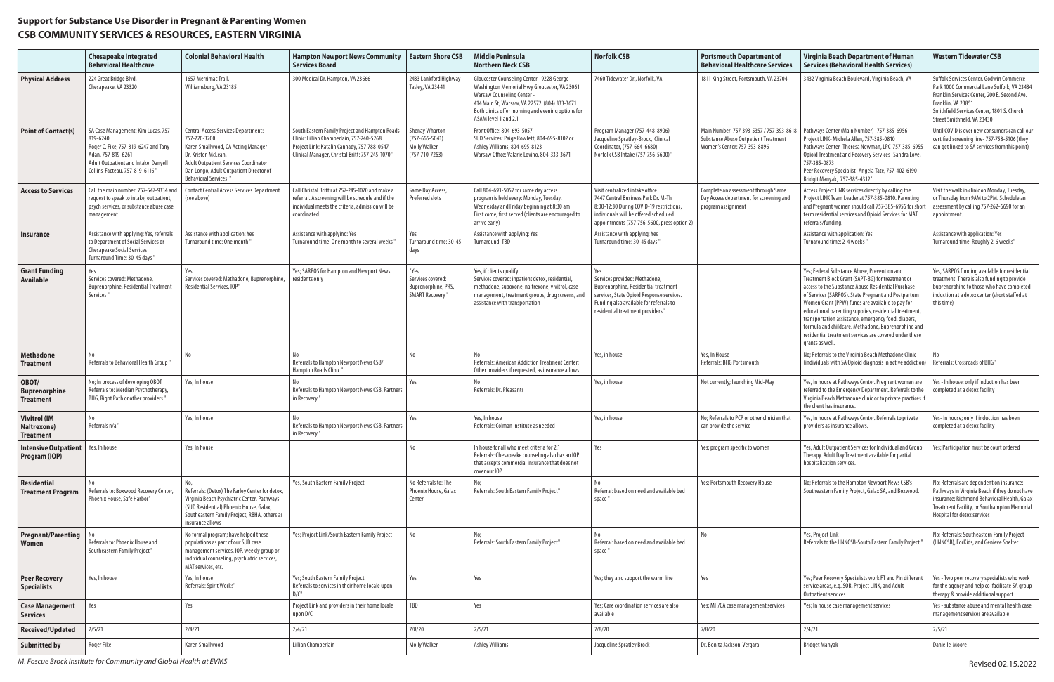## **Support for Substance Use Disorder in Pregnant & Parenting Women CSB COMMUNITY SERVICES & RESOURCES, EASTERN VIRGINIA**

|                                                        | <b>Chesapeake Integrated</b><br><b>Behavioral Healthcare</b>                                                                                                                            | <b>Colonial Behavioral Health</b>                                                                                                                                                                                                           | <b>Hampton Newport News Community</b><br><b>Services Board</b>                                                                                                                                | <b>Eastern Shore CSB</b>                                                                 | <b>Middle Peninsula</b><br><b>Northern Neck CSB</b>                                                                                                                                                                                                           | <b>Norfolk CSB</b>                                                                                                                                                                                        | <b>Portsmouth Department of</b><br><b>Behavioral Healthcare Services</b>                                                | <b>Virginia Beach Department of Human</b><br><b>Services (Behavioral Health Services)</b>                                                                                                                                                                                                                                                                                                                                                                                                                              | <b>Western Tidewater CSB</b>                                                                                                                                                                                                               |
|--------------------------------------------------------|-----------------------------------------------------------------------------------------------------------------------------------------------------------------------------------------|---------------------------------------------------------------------------------------------------------------------------------------------------------------------------------------------------------------------------------------------|-----------------------------------------------------------------------------------------------------------------------------------------------------------------------------------------------|------------------------------------------------------------------------------------------|---------------------------------------------------------------------------------------------------------------------------------------------------------------------------------------------------------------------------------------------------------------|-----------------------------------------------------------------------------------------------------------------------------------------------------------------------------------------------------------|-------------------------------------------------------------------------------------------------------------------------|------------------------------------------------------------------------------------------------------------------------------------------------------------------------------------------------------------------------------------------------------------------------------------------------------------------------------------------------------------------------------------------------------------------------------------------------------------------------------------------------------------------------|--------------------------------------------------------------------------------------------------------------------------------------------------------------------------------------------------------------------------------------------|
| <b>Physical Address</b>                                | 224 Great Bridge Blvd,<br>Chesapeake, VA 23320                                                                                                                                          | 1657 Merrimac Trail,<br>Williamsburg, VA 23185                                                                                                                                                                                              | 300 Medical Dr, Hampton, VA 23666                                                                                                                                                             | 2433 Lankford Highway<br>Tasley, VA 23441                                                | Gloucester Counseling Center - 9228 George<br>Washington Memorial Hwy Gloucester, VA 23061<br><b>Warsaw Counseling Center -</b><br>414 Main St, Warsaw, VA 22572 (804) 333-3671<br>Both clinics offer morning and evening options for<br>ASAM level 1 and 2.1 | 7460 Tidewater Dr., Norfolk, VA                                                                                                                                                                           | 1811 King Street, Portsmouth, VA 23704                                                                                  | 3432 Virginia Beach Boulevard, Virginia Beach, VA                                                                                                                                                                                                                                                                                                                                                                                                                                                                      | Suffolk Services Center, Godwin Commerce<br>Park 1000 Commercial Lane Suffolk, VA 23434<br>Franklin Services Center, 200 E. Second Ave.<br>Franklin, VA 23851<br>Smithfield Services Center, 1801 S. Church<br>Street Smithfield, VA 23430 |
| <b>Point of Contact(s)</b>                             | SA Case Management: Kim Lucas, 757-<br>819-6240<br>Roger C. Fike, 757-819-6247 and Tany<br>Adan, 757-819-6261<br>Adult Outpatient and Intake: Danyell<br>Collins-Facteau, 757-819-6116" | <b>Central Access Services Department:</b><br>757-220-3200<br>Karen Smallwood, CA Acting Manager<br>Dr. Kristen McLean.<br>Adult Outpatient Services Coordinator<br>Dan Longo, Adult Outpatient Director of<br><b>Behavioral Services</b> " | South Eastern Family Project and Hampton Roads<br>Clinic: Lillian Chamberlain, 757-240-5268<br>Project Link: Katalin Cannady, 757-788-0547<br>Clinical Manager, Christal Britt: 757-245-1070" | <b>Shenay Wharton</b><br>$(757-665-5041)$<br><b>Molly Walker</b><br>$(757 - 710 - 7263)$ | Front Office: 804-693-5057<br>SUD Services: Paige Rowlett, 804-695-8102 or<br>Ashley Williams, 804-695-8123<br>Warsaw Office: Valarie Lovino, 804-333-3671                                                                                                    | Program Manager (757-448-8906)<br>Jacqueline Spratley-Brock, Clinical<br>Coordinator, (757-664-6680)<br>Norfolk CSB Intake (757-756-5600)"                                                                | Main Number: 757-393-5357 / 757-393-8618<br><b>Substance Abuse Outpatient Treatment</b><br>Women's Center: 757-393-8896 | Pathways Center (Main Number) - 757-385-6956<br>Project LINK- Michela Allen, 757-385-0810<br>Pathways Center-Theresa Newman, LPC 757-385-695!<br>Opioid Treatment and Recovery Services-Sandra Love,<br>757-385-0873<br>Peer Recovery Specialist-Angela Tate, 757-402-6190<br>Bridgit Manyak, 757-385-4312"                                                                                                                                                                                                            | Until COVID is over new consumers can call our<br>certified screening line-757-758-5106 (they<br>can get linked to SA services from this point)                                                                                            |
| <b>Access to Services</b>                              | Call the main number: 757-547-9334 and<br>request to speak to intake, outpatient,<br>psych services, or substance abuse case<br>management                                              | Contact Central Access Services Department<br>(see above)                                                                                                                                                                                   | Call Christal Britt r at 757-245-1070 and make a<br>referral. A screening will be schedule and if the<br>individual meets the criteria, admission will be<br>coordinated.                     | Same Day Access,<br>Preferred slots                                                      | Call 804-693-5057 for same day access<br>program is held every: Monday, Tuesday,<br>Wednesday and Friday beginning at 8:30 am<br>First come, first served (clients are encouraged to<br>arrive early)                                                         | Visit centralized intake office<br>7447 Central Business Park Dr. M-Th<br>8:00-12:30 During COVID-19 restrictions,<br>ndividuals will be offered scheduled<br>appointments (757-756-5600, press option 2) | Complete an assessment through Same<br>Day Access department for screening and<br>program assignment                    | Access Project LINK services directly by calling the<br>Project LINK Team Leader at 757-385-0810. Parenting<br>and Pregnant women should call 757-385-6956 for shor<br>term residential services and Opioid Services for MAT<br>referrals/funding.                                                                                                                                                                                                                                                                     | Visit the walk in clinic on Monday, Tuesday,<br>or Thursday from 9AM to 2PM. Schedule an<br>assessment by calling 757-262-6690 for an<br>appointment.                                                                                      |
| <b>Insurance</b>                                       | Assistance with applying: Yes, referrals<br>to Department of Social Services or<br><b>Chesapeake Social Services</b><br>Turnaround Time: 30-45 days "                                   | Assistance with application: Yes<br>Turnaround time: One month "                                                                                                                                                                            | Assistance with applying: Yes<br>" Iurnaround time: One month to several weeks                                                                                                                | Yes<br>Turnaround time: 30-45<br>days                                                    | Assistance with applying: Yes<br>Turnaround: TBD                                                                                                                                                                                                              | Assistance with applying: Yes<br>Turnaround time: 30-45 days "                                                                                                                                            |                                                                                                                         | Assistance with application: Yes<br>Turnaround time: 2-4 weeks "                                                                                                                                                                                                                                                                                                                                                                                                                                                       | Assistance with application: Yes<br>Turnaround time: Roughly 2-6 weeks"                                                                                                                                                                    |
| <b>Grant Funding</b><br><b>Available</b>               | Yes<br>Services covered: Methadone,<br>Buprenorphine, Residential Treatment<br>Services                                                                                                 | Yes<br>Services covered: Methadone, Buprenorphine,<br>Residential Services, IOP"                                                                                                                                                            | Yes; SARPOS for Hampton and Newport News<br>residents only                                                                                                                                    | "Yes<br>Services covered:<br>Buprenorphine, PRS<br><b>SMART Recovery</b> "               | Yes, if clients qualify<br>Services covered: inpatient detox, residential,<br>methadone, suboxone, naltrexone, vivitrol, case<br>management, treatment groups, drug screens, and<br>assistance with transportation                                            | Yes<br>Services provided: Methadone,<br>Buprenorphine, Residential treatment<br>services, State Opioid Response services.<br>Funding also available for referrals to<br>residential treatment providers'  |                                                                                                                         | Yes; Federal Substance Abuse, Prevention and<br>Treatment Block Grant (SAPT-BG) for treatment or<br>access to the Substance Abuse Residential Purchase<br>of Services (SARPOS). State Pregnant and Postpartum<br>Women Grant (PPW) funds are available to pay for<br>educational parenting supplies, residential treatment,<br>transportation assistance, emergency food, diapers,<br>formula and childcare. Methadone, Buprenorphine and<br>residential treatment services are covered under these<br>grants as well. | Yes, SARPOS funding available for residential<br>treatment. There is also funding to provide<br>buprenorphine to those who have completed<br>induction at a detox center (short staffed at<br>this time)                                   |
| <b>Methadone</b><br><b>Treatment</b>                   | Referrals to Behavioral Health Group                                                                                                                                                    | No                                                                                                                                                                                                                                          | Referrals to Hampton Newport News CSB/<br><b>Hampton Roads Clinic"</b>                                                                                                                        | No                                                                                       | Referrals: American Addiction Treatment Center:<br>Other providers if requested, as insurance allows                                                                                                                                                          | Yes, in house                                                                                                                                                                                             | Yes, In House<br><b>Referrals: BHG Portsmouth</b>                                                                       | No; Referrals to the Virginia Beach Methadone Clinic<br>(individuals with SA Opioid diagnosis in active addiction)                                                                                                                                                                                                                                                                                                                                                                                                     | No<br>Referrals: Crossroads of BHG"                                                                                                                                                                                                        |
| OBOT/<br><b>Buprenorphine</b><br><b>Treatment</b>      | No; In process of developing OBOT<br>Referrals to: Merdian Psychotherapy,<br>BHG, Right Path or other providers "                                                                       | Yes, In house                                                                                                                                                                                                                               | Referrals to Hampton Newport News CSB, Partners<br>in Recovery'                                                                                                                               | Yes                                                                                      | Referrals: Dr. Pleasants                                                                                                                                                                                                                                      | Yes, in house                                                                                                                                                                                             | Not currently; launching Mid-May                                                                                        | Yes, In house at Pathways Center. Pregnant women are<br>referred to the Emergency Department. Referrals to the<br>Virginia Beach Methadone clinic or to private practices if<br>the client has insurance.                                                                                                                                                                                                                                                                                                              | Yes - In house; only if induction has been<br>completed at a detox facility                                                                                                                                                                |
| <b>Vivitrol (IM</b><br>Naltrexone)<br><b>Treatment</b> | Referrals n/a "                                                                                                                                                                         | Yes, In house                                                                                                                                                                                                                               | Referrals to Hampton Newport News CSB, Partners<br>in Recovery"                                                                                                                               | Yes                                                                                      | Yes, In house<br>Referrals: Colman Institute as needed                                                                                                                                                                                                        | Yes, in house                                                                                                                                                                                             | No: Referrals to PCP or other clinician that<br>can provide the service                                                 | Yes, In house at Pathways Center. Referrals to private<br>providers as insurance allows.                                                                                                                                                                                                                                                                                                                                                                                                                               | Yes- In house; only if induction has been<br>completed at a detox facility                                                                                                                                                                 |
| Intensive Outpatient<br>Program (IOP)                  | Yes, In house                                                                                                                                                                           | Yes, In house                                                                                                                                                                                                                               |                                                                                                                                                                                               | No                                                                                       | In house for all who meet criteria for 2.1<br>Referrals: Chesapeake counseling also has an IOP<br>that accepts commercial insurance that does not<br>cover our IOP                                                                                            | Yes                                                                                                                                                                                                       | Yes; program specific to women                                                                                          | Yes, Adult Outpatient Services for Individual and Group<br>Therapy. Adult Day Treatment available for partial<br>hospitalization services.                                                                                                                                                                                                                                                                                                                                                                             | Yes; Participation must be court ordered                                                                                                                                                                                                   |
| Residential<br><b>Treatment Program</b>                | Referrals to: Boxwood Recovery Center,<br>Phoenix House, Safe Harbor"                                                                                                                   | Referrals: (Detox) The Farley Center for detox,<br>Virginia Beach Psychiatric Center, Pathways<br>(SUD Residential) Phoenix House, Galax,<br>Southeastern Family Project, RBHA, others as<br>insurance allows                               | Yes, South Eastern Family Project                                                                                                                                                             | No Referrals to: The<br>Phoenix House, Galax<br>Center                                   | Referrals: South Eastern Family Project"                                                                                                                                                                                                                      | N٥<br>Referral: based on need and available bed<br>space"                                                                                                                                                 | Yes; Portsmouth Recovery House                                                                                          | No; Referrals to the Hampton Newport News CSB's<br>Southeastern Family Project, Galax SA, and Boxwood.                                                                                                                                                                                                                                                                                                                                                                                                                 | No; Referrals are dependent on insurance:<br>Pathways in Virginia Beach if they do not have<br>insurance; Richmond Behavioral Health, Galax<br>Treatment Facility, or Southampton Memorial<br>Hospital for detox services                  |
| <b>Pregnant/Parenting</b><br>Women                     | Referrals to: Phoenix House and<br>Southeastern Family Project"                                                                                                                         | No formal program; have helped these<br>populations as part of our SUD case<br>management services, IOP, weekly group or<br>individual counseling, psychiatric services,<br>MAT services, etc.                                              | Yes; Project Link/South Eastern Family Project                                                                                                                                                | No                                                                                       | Referrals: South Eastern Family Project"                                                                                                                                                                                                                      | N٥<br>Referral: based on need and available bed<br>space"                                                                                                                                                 | No                                                                                                                      | Yes, Project Link<br>Referrals to the HNNCSB-South Eastern Family Project                                                                                                                                                                                                                                                                                                                                                                                                                                              | No; Referrals: Southeastern Family Project<br>(HNNCSB), ForKids, and Genieve Shelter                                                                                                                                                       |
| <b>Peer Recovery</b><br><b>Specialists</b>             | Yes, In house                                                                                                                                                                           | Yes, In house<br>Referrals: Spirit Works"                                                                                                                                                                                                   | Yes; South Eastern Family Project<br>Referrals to services in their home locale upon<br>D/C''                                                                                                 | Yes                                                                                      | Yes                                                                                                                                                                                                                                                           | Yes; they also support the warm line                                                                                                                                                                      | Yes                                                                                                                     | Yes; Peer Recovery Specialists work FT and Pin different<br>service areas, e.g. SOR, Project LINK, and Adult<br>Outpatient services                                                                                                                                                                                                                                                                                                                                                                                    | Yes - Two peer recovery specialists who work<br>for the agency and help co-facilitate SA group<br>therapy & provide additional support                                                                                                     |
| <b>Case Management</b><br><b>Services</b>              | Yes                                                                                                                                                                                     | Yes                                                                                                                                                                                                                                         | Project Link and providers in their home locale<br>upon $D/C$                                                                                                                                 | TBD                                                                                      | Yes                                                                                                                                                                                                                                                           | Yes; Care coordination services are also<br>available                                                                                                                                                     | Yes; MH/CA case management services                                                                                     | Yes; In house case management services                                                                                                                                                                                                                                                                                                                                                                                                                                                                                 | Yes - substance abuse and mental health case<br>management services are available                                                                                                                                                          |
| Received/Updated                                       | 2/5/21                                                                                                                                                                                  | 2/4/21                                                                                                                                                                                                                                      | 2/4/21                                                                                                                                                                                        | 7/8/20                                                                                   | 2/5/21                                                                                                                                                                                                                                                        | 7/8/20                                                                                                                                                                                                    | 7/8/20                                                                                                                  | 2/4/21                                                                                                                                                                                                                                                                                                                                                                                                                                                                                                                 | 2/5/21                                                                                                                                                                                                                                     |
| Submitted by                                           | Roger Fike                                                                                                                                                                              | Karen Smallwood                                                                                                                                                                                                                             | Lillian Chamberlain                                                                                                                                                                           | <b>Molly Walker</b>                                                                      | <b>Ashley Williams</b>                                                                                                                                                                                                                                        | Jacqueline Spratley Brock                                                                                                                                                                                 | Dr. Bonita Jackson-Vergara                                                                                              | <b>Bridget Manyak</b>                                                                                                                                                                                                                                                                                                                                                                                                                                                                                                  | Danielle Moore                                                                                                                                                                                                                             |

*M. Foscue Brock Institute for Community and Global Health at EVMS* Revised 02.15.2022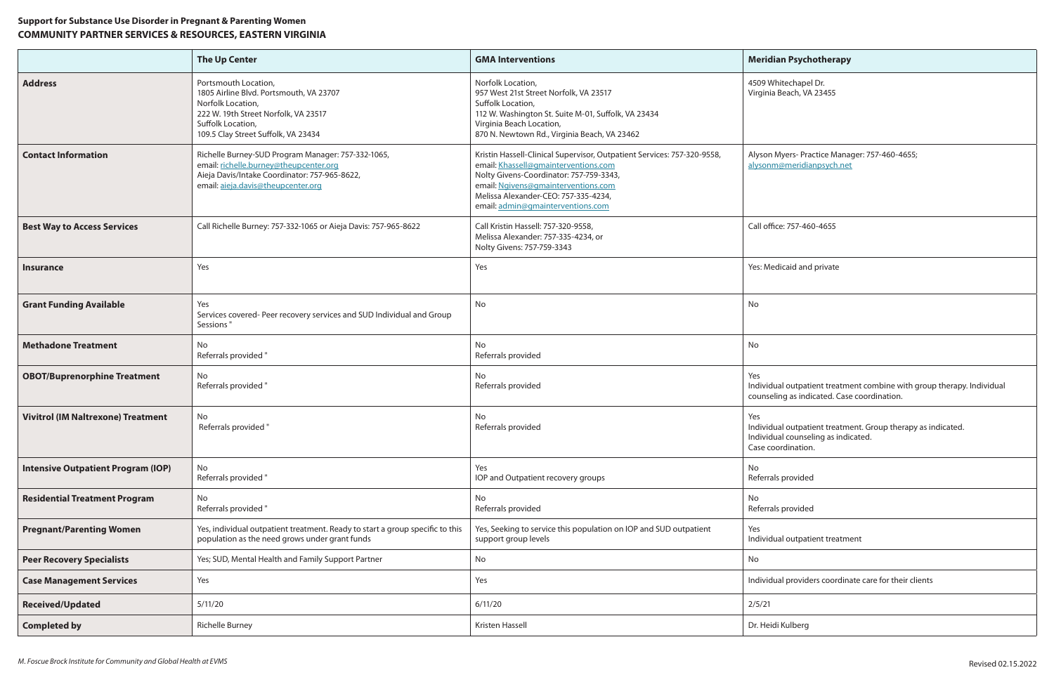## **Support for Substance Use Disorder in Pregnant & Parenting Women COMMUNITY PARTNER SERVICES & RESOURCES, EASTERN VIRGINIA**

## **The Up Center** Psychotherapy

Myers- Practice Manager: 757-460-4655; n@meridianpsych.net

lual outpatient treatment combine with group therapy. Individual ling as indicated. Case coordination.

lual outpatient treatment. Group therapy as indicated. ual counseling as indicated. oordination.

ual outpatient treatment

|                                           | <b>The Up Center</b>                                                                                                                                                                     | <b>GMA Interventions</b>                                                                                                                                                                                                                                                       | <b>Meridian Psychothera</b>                                                           |
|-------------------------------------------|------------------------------------------------------------------------------------------------------------------------------------------------------------------------------------------|--------------------------------------------------------------------------------------------------------------------------------------------------------------------------------------------------------------------------------------------------------------------------------|---------------------------------------------------------------------------------------|
| <b>Address</b>                            | Portsmouth Location,<br>1805 Airline Blvd. Portsmouth, VA 23707<br>Norfolk Location,<br>222 W. 19th Street Norfolk, VA 23517<br>Suffolk Location,<br>109.5 Clay Street Suffolk, VA 23434 | Norfolk Location,<br>957 West 21st Street Norfolk, VA 23517<br>Suffolk Location,<br>112 W. Washington St. Suite M-01, Suffolk, VA 23434<br>Virginia Beach Location,<br>870 N. Newtown Rd., Virginia Beach, VA 23462                                                            | 4509 Whitechapel Dr.<br>Virginia Beach, VA 23455                                      |
| <b>Contact Information</b>                | Richelle Burney-SUD Program Manager: 757-332-1065,<br>email: richelle.burney@theupcenter.org<br>Aieja Davis/Intake Coordinator: 757-965-8622,<br>email: aieja.davis@theupcenter.org      | Kristin Hassell-Clinical Supervisor, Outpatient Services: 757-320-9558,<br>email: Khassell@gmainterventions.com<br>Nolty Givens-Coordinator: 757-759-3343,<br>email: Ngivens@gmainterventions.com<br>Melissa Alexander-CEO: 757-335-4234,<br>email: admin@gmainterventions.com | Alyson Myers- Practice Ma<br>alysonm@meridianpsych                                    |
| <b>Best Way to Access Services</b>        | Call Richelle Burney: 757-332-1065 or Aieja Davis: 757-965-8622                                                                                                                          | Call Kristin Hassell: 757-320-9558,<br>Melissa Alexander: 757-335-4234, or<br>Nolty Givens: 757-759-3343                                                                                                                                                                       | Call office: 757-460-4655                                                             |
| <b>Insurance</b>                          | Yes                                                                                                                                                                                      | Yes                                                                                                                                                                                                                                                                            | Yes: Medicaid and private                                                             |
| <b>Grant Funding Available</b>            | Yes<br>Services covered-Peer recovery services and SUD Individual and Group<br>Sessions'                                                                                                 | No                                                                                                                                                                                                                                                                             | No                                                                                    |
| <b>Methadone Treatment</b>                | No<br>Referrals provided"                                                                                                                                                                | No<br>Referrals provided                                                                                                                                                                                                                                                       | No                                                                                    |
| <b>OBOT/Buprenorphine Treatment</b>       | No<br>Referrals provided"                                                                                                                                                                | No.<br>Referrals provided                                                                                                                                                                                                                                                      | Yes<br>Individual outpatient trea<br>counseling as indicated. (                       |
| <b>Vivitrol (IM Naltrexone) Treatment</b> | No<br>Referrals provided"                                                                                                                                                                | No<br>Referrals provided                                                                                                                                                                                                                                                       | Yes<br>Individual outpatient trea<br>Individual counseling as i<br>Case coordination. |
| <b>Intensive Outpatient Program (IOP)</b> | No<br>Referrals provided"                                                                                                                                                                | Yes<br>IOP and Outpatient recovery groups                                                                                                                                                                                                                                      | No<br>Referrals provided                                                              |
| <b>Residential Treatment Program</b>      | No<br>Referrals provided"                                                                                                                                                                | No<br>Referrals provided                                                                                                                                                                                                                                                       | No.<br>Referrals provided                                                             |
| <b>Pregnant/Parenting Women</b>           | Yes, individual outpatient treatment. Ready to start a group specific to this<br>population as the need grows under grant funds                                                          | Yes, Seeking to service this population on IOP and SUD outpatient<br>support group levels                                                                                                                                                                                      | Yes<br>Individual outpatient trea                                                     |
| <b>Peer Recovery Specialists</b>          | Yes; SUD, Mental Health and Family Support Partner                                                                                                                                       | No                                                                                                                                                                                                                                                                             | No                                                                                    |
| <b>Case Management Services</b>           | Yes                                                                                                                                                                                      | Yes                                                                                                                                                                                                                                                                            | Individual providers coor                                                             |
| <b>Received/Updated</b>                   | 5/11/20                                                                                                                                                                                  | 6/11/20                                                                                                                                                                                                                                                                        | 2/5/21                                                                                |
| <b>Completed by</b>                       | Richelle Burney                                                                                                                                                                          | Kristen Hassell                                                                                                                                                                                                                                                                | Dr. Heidi Kulberg                                                                     |

**Case Management Services** Yes Yes Individual providers coordinate care for their clients